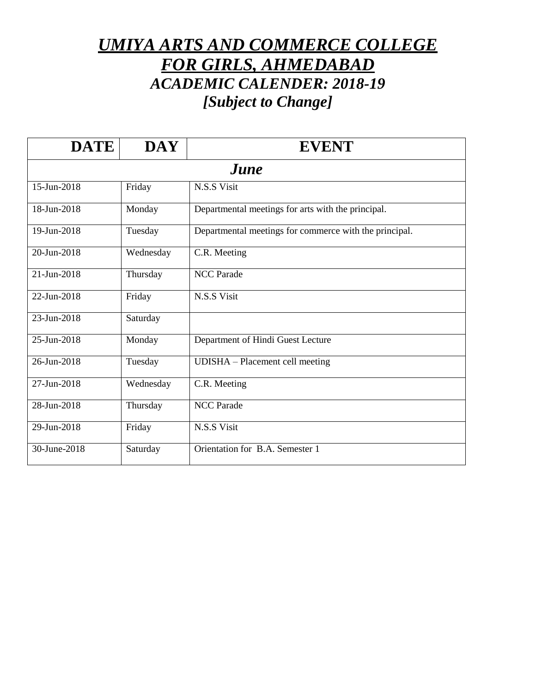## *UMIYA ARTS AND COMMERCE COLLEGE FOR GIRLS, AHMEDABAD ACADEMIC CALENDER: 2018-19 [Subject to Change]*

| <b>DATE</b>  | <b>DAY</b> | <b>EVENT</b>                                           |
|--------------|------------|--------------------------------------------------------|
|              |            | <i>June</i>                                            |
| 15-Jun-2018  | Friday     | N.S.S Visit                                            |
| 18-Jun-2018  | Monday     | Departmental meetings for arts with the principal.     |
| 19-Jun-2018  | Tuesday    | Departmental meetings for commerce with the principal. |
| 20-Jun-2018  | Wednesday  | C.R. Meeting                                           |
| 21-Jun-2018  | Thursday   | <b>NCC</b> Parade                                      |
| 22-Jun-2018  | Friday     | N.S.S Visit                                            |
| 23-Jun-2018  | Saturday   |                                                        |
| 25-Jun-2018  | Monday     | Department of Hindi Guest Lecture                      |
| 26-Jun-2018  | Tuesday    | UDISHA - Placement cell meeting                        |
| 27-Jun-2018  | Wednesday  | C.R. Meeting                                           |
| 28-Jun-2018  | Thursday   | <b>NCC</b> Parade                                      |
| 29-Jun-2018  | Friday     | N.S.S Visit                                            |
| 30-June-2018 | Saturday   | Orientation for B.A. Semester 1                        |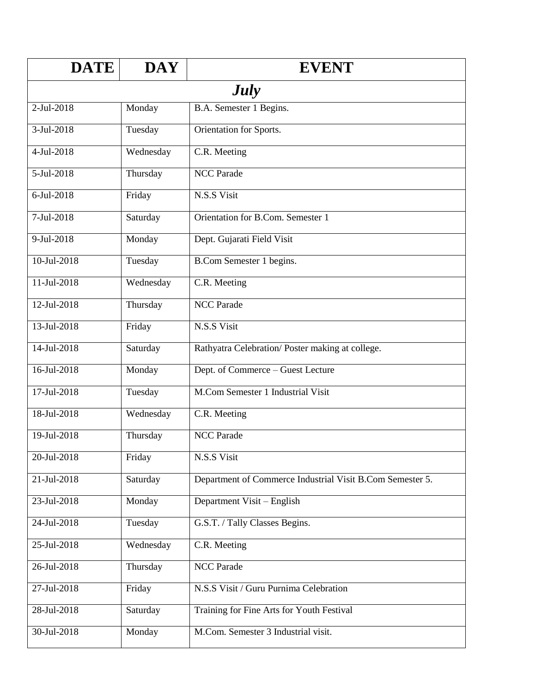| <b>DATE</b>      | <b>DAY</b> | <b>EVENT</b>                                              |  |
|------------------|------------|-----------------------------------------------------------|--|
| <b>July</b>      |            |                                                           |  |
| 2-Jul-2018       | Monday     | B.A. Semester 1 Begins.                                   |  |
| 3-Jul-2018       | Tuesday    | Orientation for Sports.                                   |  |
| $4-Jul-2018$     | Wednesday  | C.R. Meeting                                              |  |
| 5-Jul-2018       | Thursday   | <b>NCC</b> Parade                                         |  |
| 6-Jul-2018       | Friday     | N.S.S Visit                                               |  |
| $7 - Jul - 2018$ | Saturday   | Orientation for B.Com. Semester 1                         |  |
| 9-Jul-2018       | Monday     | Dept. Gujarati Field Visit                                |  |
| 10-Jul-2018      | Tuesday    | B.Com Semester 1 begins.                                  |  |
| $11 -$ Jul-2018  | Wednesday  | C.R. Meeting                                              |  |
| 12-Jul-2018      | Thursday   | <b>NCC</b> Parade                                         |  |
| 13-Jul-2018      | Friday     | N.S.S Visit                                               |  |
| 14-Jul-2018      | Saturday   | Rathyatra Celebration/Poster making at college.           |  |
| 16-Jul-2018      | Monday     | Dept. of Commerce - Guest Lecture                         |  |
| 17-Jul-2018      | Tuesday    | M.Com Semester 1 Industrial Visit                         |  |
| 18-Jul-2018      | Wednesday  | C.R. Meeting                                              |  |
| 19-Jul-2018      | Thursday   | <b>NCC Parade</b>                                         |  |
| 20-Jul-2018      | Friday     | N.S.S Visit                                               |  |
| 21-Jul-2018      | Saturday   | Department of Commerce Industrial Visit B.Com Semester 5. |  |
| 23-Jul-2018      | Monday     | Department Visit - English                                |  |
| 24-Jul-2018      | Tuesday    | G.S.T. / Tally Classes Begins.                            |  |
| 25-Jul-2018      | Wednesday  | C.R. Meeting                                              |  |
| 26-Jul-2018      | Thursday   | <b>NCC Parade</b>                                         |  |
| 27-Jul-2018      | Friday     | N.S.S Visit / Guru Purnima Celebration                    |  |
| 28-Jul-2018      | Saturday   | Training for Fine Arts for Youth Festival                 |  |
| 30-Jul-2018      | Monday     | M.Com. Semester 3 Industrial visit.                       |  |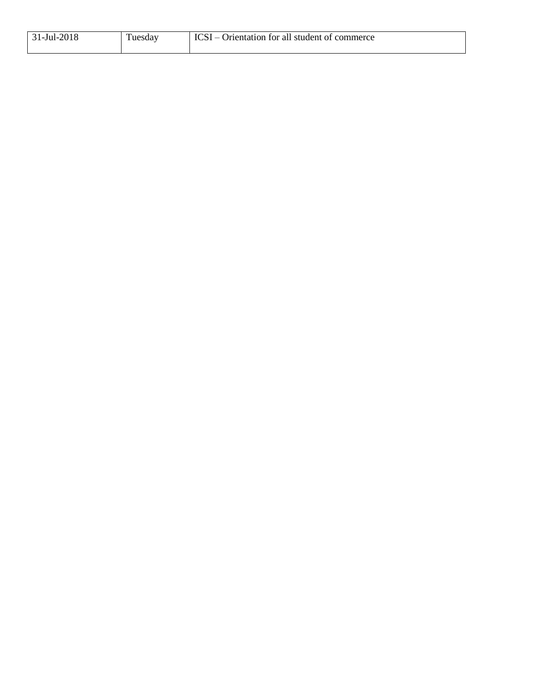| $ 31-Jul-2018$ | Tuesday | ICSI – Orientation for all student of commerce |
|----------------|---------|------------------------------------------------|
|                |         |                                                |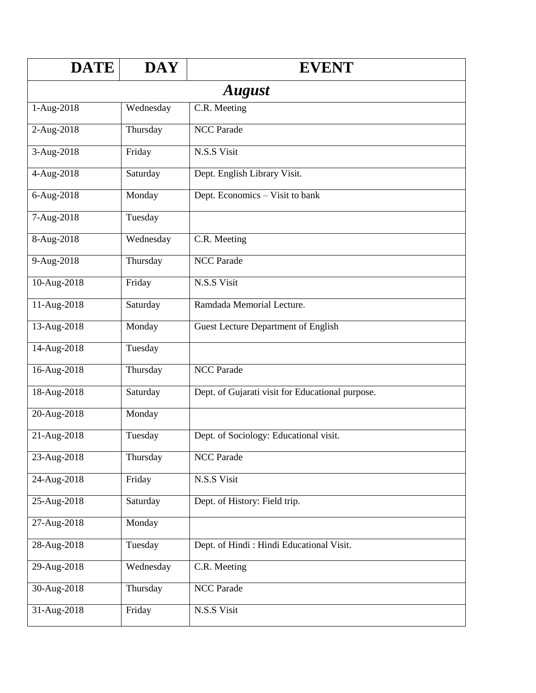| <b>DATE</b> | <b>DAY</b>    | <b>EVENT</b>                                     |  |  |
|-------------|---------------|--------------------------------------------------|--|--|
|             | <b>August</b> |                                                  |  |  |
| 1-Aug-2018  | Wednesday     | C.R. Meeting                                     |  |  |
| 2-Aug-2018  | Thursday      | <b>NCC Parade</b>                                |  |  |
| 3-Aug-2018  | Friday        | N.S.S Visit                                      |  |  |
| 4-Aug-2018  | Saturday      | Dept. English Library Visit.                     |  |  |
| 6-Aug-2018  | Monday        | Dept. Economics - Visit to bank                  |  |  |
| 7-Aug-2018  | Tuesday       |                                                  |  |  |
| 8-Aug-2018  | Wednesday     | C.R. Meeting                                     |  |  |
| 9-Aug-2018  | Thursday      | <b>NCC Parade</b>                                |  |  |
| 10-Aug-2018 | Friday        | N.S.S Visit                                      |  |  |
| 11-Aug-2018 | Saturday      | Ramdada Memorial Lecture.                        |  |  |
| 13-Aug-2018 | Monday        | <b>Guest Lecture Department of English</b>       |  |  |
| 14-Aug-2018 | Tuesday       |                                                  |  |  |
| 16-Aug-2018 | Thursday      | <b>NCC Parade</b>                                |  |  |
| 18-Aug-2018 | Saturday      | Dept. of Gujarati visit for Educational purpose. |  |  |
| 20-Aug-2018 | Monday        |                                                  |  |  |
| 21-Aug-2018 | Tuesday       | Dept. of Sociology: Educational visit.           |  |  |
| 23-Aug-2018 | Thursday      | <b>NCC Parade</b>                                |  |  |
| 24-Aug-2018 | Friday        | N.S.S Visit                                      |  |  |
| 25-Aug-2018 | Saturday      | Dept. of History: Field trip.                    |  |  |
| 27-Aug-2018 | Monday        |                                                  |  |  |
| 28-Aug-2018 | Tuesday       | Dept. of Hindi: Hindi Educational Visit.         |  |  |
| 29-Aug-2018 | Wednesday     | C.R. Meeting                                     |  |  |
| 30-Aug-2018 | Thursday      | NCC Parade                                       |  |  |
| 31-Aug-2018 | Friday        | N.S.S Visit                                      |  |  |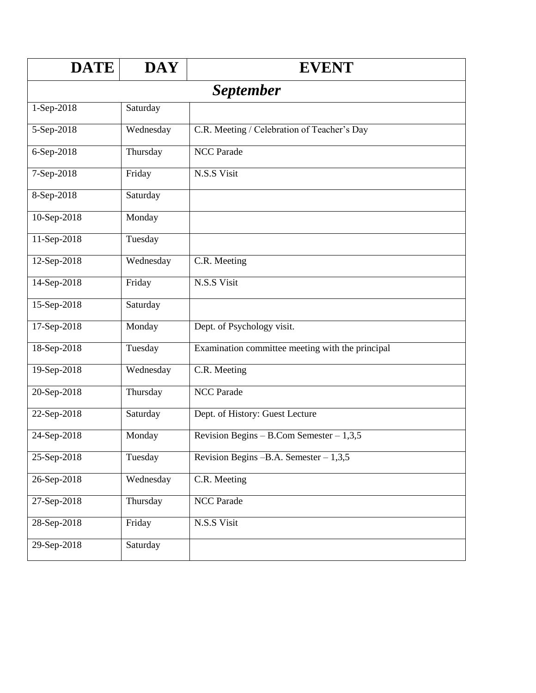| <b>DATE</b>       | <b>DAY</b>       | <b>EVENT</b>                                     |  |  |
|-------------------|------------------|--------------------------------------------------|--|--|
|                   | <i>September</i> |                                                  |  |  |
| 1-Sep-2018        | Saturday         |                                                  |  |  |
| 5-Sep-2018        | Wednesday        | C.R. Meeting / Celebration of Teacher's Day      |  |  |
| 6-Sep-2018        | Thursday         | <b>NCC</b> Parade                                |  |  |
| 7-Sep-2018        | Friday           | N.S.S Visit                                      |  |  |
| 8-Sep-2018        | Saturday         |                                                  |  |  |
| 10-Sep-2018       | Monday           |                                                  |  |  |
| 11-Sep-2018       | Tuesday          |                                                  |  |  |
| 12-Sep-2018       | Wednesday        | C.R. Meeting                                     |  |  |
| 14-Sep-2018       | Friday           | N.S.S Visit                                      |  |  |
| 15-Sep-2018       | Saturday         |                                                  |  |  |
| 17-Sep-2018       | Monday           | Dept. of Psychology visit.                       |  |  |
| 18-Sep-2018       | Tuesday          | Examination committee meeting with the principal |  |  |
| 19-Sep-2018       | Wednesday        | C.R. Meeting                                     |  |  |
| 20-Sep-2018       | Thursday         | <b>NCC Parade</b>                                |  |  |
| 22-Sep-2018       | Saturday         | Dept. of History: Guest Lecture                  |  |  |
| 24-Sep-2018       | Monday           | Revision Begins – B.Com Semester – $1,3,5$       |  |  |
| 25-Sep-2018       | Tuesday          | Revision Begins $-B.A.$ Semester $-1,3,5$        |  |  |
| $26 - Sep - 2018$ | Wednesday        | C.R. Meeting                                     |  |  |
| 27-Sep-2018       | Thursday         | <b>NCC Parade</b>                                |  |  |
| 28-Sep-2018       | Friday           | N.S.S Visit                                      |  |  |
| 29-Sep-2018       | Saturday         |                                                  |  |  |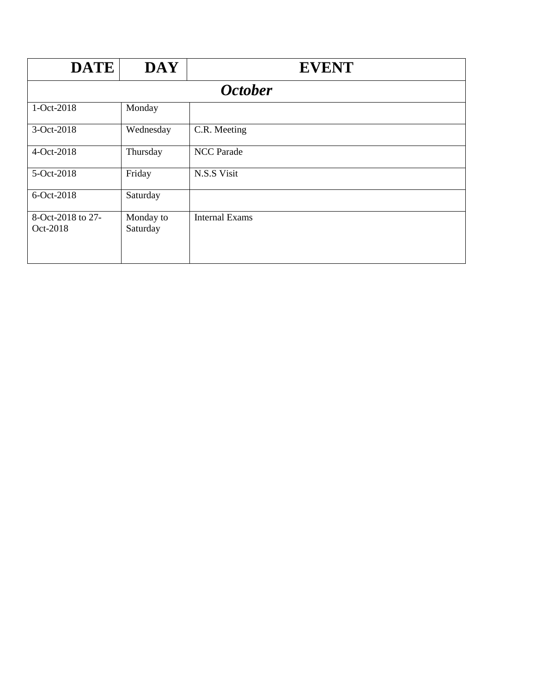| <b>DATE</b>                   | <b>DAY</b>            | <b>EVENT</b>          |  |  |
|-------------------------------|-----------------------|-----------------------|--|--|
|                               | <b>October</b>        |                       |  |  |
| 1-Oct-2018                    | Monday                |                       |  |  |
| 3-Oct-2018                    | Wednesday             | C.R. Meeting          |  |  |
| 4-Oct-2018                    | Thursday              | <b>NCC</b> Parade     |  |  |
| 5-Oct-2018                    | Friday                | N.S.S Visit           |  |  |
| 6-Oct-2018                    | Saturday              |                       |  |  |
| 8-Oct-2018 to 27-<br>Oct-2018 | Monday to<br>Saturday | <b>Internal Exams</b> |  |  |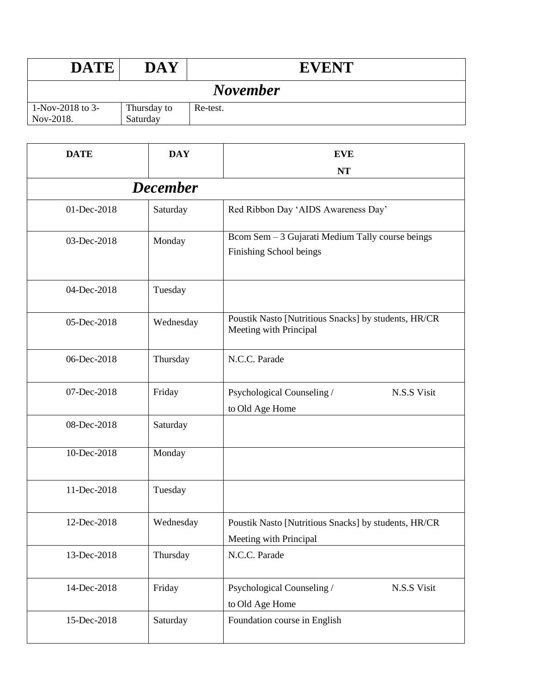| <b>DATE</b>                   | DAY                     | <b>EVENT</b> |
|-------------------------------|-------------------------|--------------|
| <b>November</b>               |                         |              |
| 1-Nov-2018 to 3-<br>Nov-2018. | Thursday to<br>Saturday | Re-test.     |

| <b>DATE</b> | <b>DAY</b>      | <b>EVE</b>                                                                     |
|-------------|-----------------|--------------------------------------------------------------------------------|
|             |                 | <b>NT</b>                                                                      |
|             | <b>December</b> |                                                                                |
| 01-Dec-2018 | Saturday        | Red Ribbon Day 'AIDS Awareness Day'                                            |
| 03-Dec-2018 | Monday          | Bcom Sem - 3 Gujarati Medium Tally course beings<br>Finishing School beings    |
| 04-Dec-2018 | Tuesday         |                                                                                |
| 05-Dec-2018 | Wednesday       | Poustik Nasto [Nutritious Snacks] by students, HR/CR<br>Meeting with Principal |
| 06-Dec-2018 | Thursday        | N.C.C. Parade                                                                  |
| 07-Dec-2018 | Friday          | Psychological Counseling /<br>N.S.S Visit<br>to Old Age Home                   |
| 08-Dec-2018 | Saturday        |                                                                                |
| 10-Dec-2018 | Monday          |                                                                                |
| 11-Dec-2018 | Tuesday         |                                                                                |
| 12-Dec-2018 | Wednesday       | Poustik Nasto [Nutritious Snacks] by students, HR/CR<br>Meeting with Principal |
| 13-Dec-2018 | Thursday        | N.C.C. Parade                                                                  |
| 14-Dec-2018 | Friday          | Psychological Counseling /<br>N.S.S Visit<br>to Old Age Home                   |
| 15-Dec-2018 | Saturday        | Foundation course in English                                                   |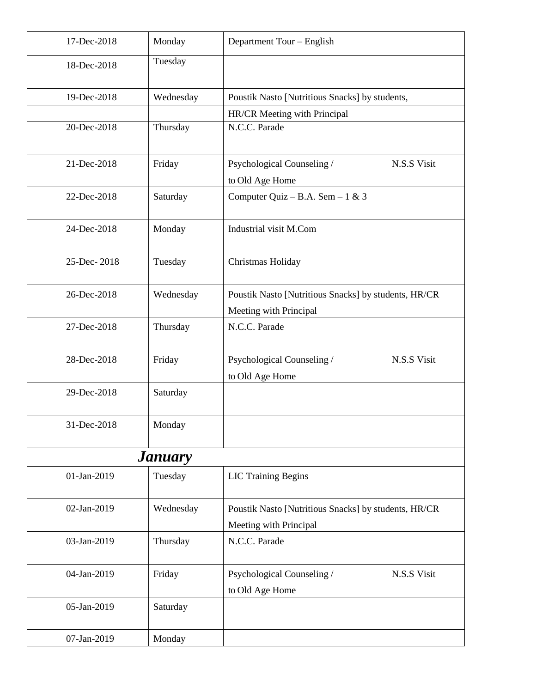| 17-Dec-2018 | Monday                | Department Tour - English                                                      |
|-------------|-----------------------|--------------------------------------------------------------------------------|
| 18-Dec-2018 | Tuesday               |                                                                                |
| 19-Dec-2018 | Wednesday             | Poustik Nasto [Nutritious Snacks] by students,                                 |
|             |                       | HR/CR Meeting with Principal                                                   |
| 20-Dec-2018 | Thursday              | N.C.C. Parade                                                                  |
| 21-Dec-2018 | Friday                | Psychological Counseling /<br>N.S.S Visit<br>to Old Age Home                   |
| 22-Dec-2018 | Saturday              | Computer Quiz - B.A. Sem - 1 & 3                                               |
| 24-Dec-2018 | Monday                | Industrial visit M.Com                                                         |
| 25-Dec-2018 | Tuesday               | Christmas Holiday                                                              |
| 26-Dec-2018 | Wednesday             | Poustik Nasto [Nutritious Snacks] by students, HR/CR<br>Meeting with Principal |
| 27-Dec-2018 | Thursday              | N.C.C. Parade                                                                  |
| 28-Dec-2018 | Friday                | Psychological Counseling /<br>N.S.S Visit<br>to Old Age Home                   |
| 29-Dec-2018 | Saturday              |                                                                                |
| 31-Dec-2018 | Monday                |                                                                                |
|             | <b><i>January</i></b> |                                                                                |
| 01-Jan-2019 | Tuesday               | <b>LIC Training Begins</b>                                                     |
| 02-Jan-2019 | Wednesday             | Poustik Nasto [Nutritious Snacks] by students, HR/CR                           |
|             |                       | Meeting with Principal                                                         |
| 03-Jan-2019 | Thursday              | N.C.C. Parade                                                                  |
| 04-Jan-2019 | Friday                | Psychological Counseling /<br>N.S.S Visit                                      |
|             |                       | to Old Age Home                                                                |
| 05-Jan-2019 | Saturday              |                                                                                |
| 07-Jan-2019 | Monday                |                                                                                |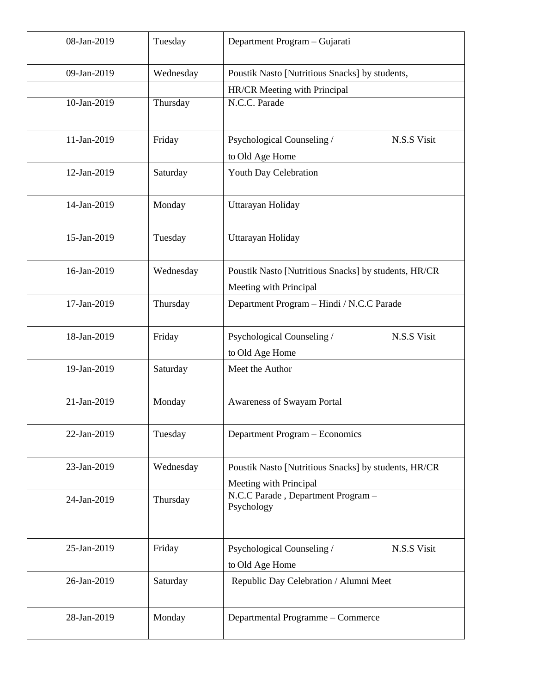| 08-Jan-2019 | Tuesday   | Department Program - Gujarati                                                  |
|-------------|-----------|--------------------------------------------------------------------------------|
| 09-Jan-2019 | Wednesday | Poustik Nasto [Nutritious Snacks] by students,                                 |
|             |           | HR/CR Meeting with Principal                                                   |
| 10-Jan-2019 | Thursday  | N.C.C. Parade                                                                  |
| 11-Jan-2019 | Friday    | Psychological Counseling /<br>N.S.S Visit<br>to Old Age Home                   |
| 12-Jan-2019 | Saturday  | Youth Day Celebration                                                          |
| 14-Jan-2019 | Monday    | Uttarayan Holiday                                                              |
| 15-Jan-2019 | Tuesday   | Uttarayan Holiday                                                              |
| 16-Jan-2019 | Wednesday | Poustik Nasto [Nutritious Snacks] by students, HR/CR<br>Meeting with Principal |
| 17-Jan-2019 | Thursday  | Department Program - Hindi / N.C.C Parade                                      |
| 18-Jan-2019 | Friday    | Psychological Counseling /<br>N.S.S Visit<br>to Old Age Home                   |
| 19-Jan-2019 | Saturday  | Meet the Author                                                                |
| 21-Jan-2019 | Monday    | Awareness of Swayam Portal                                                     |
| 22-Jan-2019 | Tuesday   | Department Program - Economics                                                 |
| 23-Jan-2019 | Wednesday | Poustik Nasto [Nutritious Snacks] by students, HR/CR<br>Meeting with Principal |
| 24-Jan-2019 | Thursday  | N.C.C Parade, Department Program -<br>Psychology                               |
| 25-Jan-2019 | Friday    | Psychological Counseling /<br>N.S.S Visit<br>to Old Age Home                   |
| 26-Jan-2019 | Saturday  | Republic Day Celebration / Alumni Meet                                         |
| 28-Jan-2019 | Monday    | Departmental Programme - Commerce                                              |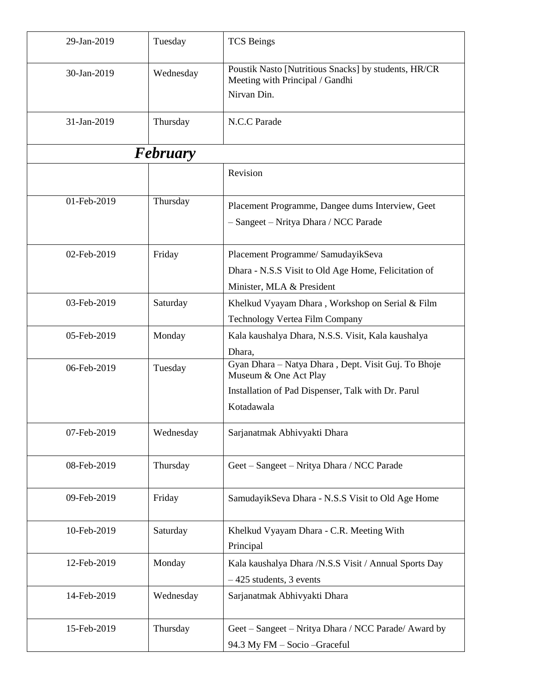| 29-Jan-2019 | Tuesday         | <b>TCS Beings</b>                                                                       |
|-------------|-----------------|-----------------------------------------------------------------------------------------|
| 30-Jan-2019 | Wednesday       | Poustik Nasto [Nutritious Snacks] by students, HR/CR<br>Meeting with Principal / Gandhi |
|             |                 | Nirvan Din.                                                                             |
| 31-Jan-2019 | Thursday        | N.C.C Parade                                                                            |
|             | <b>February</b> |                                                                                         |
|             |                 | Revision                                                                                |
| 01-Feb-2019 | Thursday        | Placement Programme, Dangee dums Interview, Geet                                        |
|             |                 | - Sangeet - Nritya Dhara / NCC Parade                                                   |
| 02-Feb-2019 | Friday          | Placement Programme/ SamudayikSeva                                                      |
|             |                 | Dhara - N.S.S Visit to Old Age Home, Felicitation of                                    |
|             |                 | Minister, MLA & President                                                               |
| 03-Feb-2019 | Saturday        | Khelkud Vyayam Dhara, Workshop on Serial & Film                                         |
|             |                 | Technology Vertea Film Company                                                          |
| 05-Feb-2019 | Monday          | Kala kaushalya Dhara, N.S.S. Visit, Kala kaushalya                                      |
|             |                 | Dhara,                                                                                  |
| 06-Feb-2019 | Tuesday         | Gyan Dhara - Natya Dhara, Dept. Visit Guj. To Bhoje<br>Museum & One Act Play            |
|             |                 | Installation of Pad Dispenser, Talk with Dr. Parul                                      |
|             |                 | Kotadawala                                                                              |
| 07-Feb-2019 | Wednesday       | Sarjanatmak Abhivyakti Dhara                                                            |
| 08-Feb-2019 | Thursday        | Geet - Sangeet - Nritya Dhara / NCC Parade                                              |
| 09-Feb-2019 | Friday          | SamudayikSeva Dhara - N.S.S Visit to Old Age Home                                       |
| 10-Feb-2019 | Saturday        | Khelkud Vyayam Dhara - C.R. Meeting With<br>Principal                                   |
| 12-Feb-2019 | Monday          | Kala kaushalya Dhara /N.S.S Visit / Annual Sports Day<br>$-425$ students, 3 events      |
| 14-Feb-2019 | Wednesday       | Sarjanatmak Abhivyakti Dhara                                                            |
| 15-Feb-2019 | Thursday        | Geet – Sangeet – Nritya Dhara / NCC Parade/ Award by<br>94.3 My FM - Socio - Graceful   |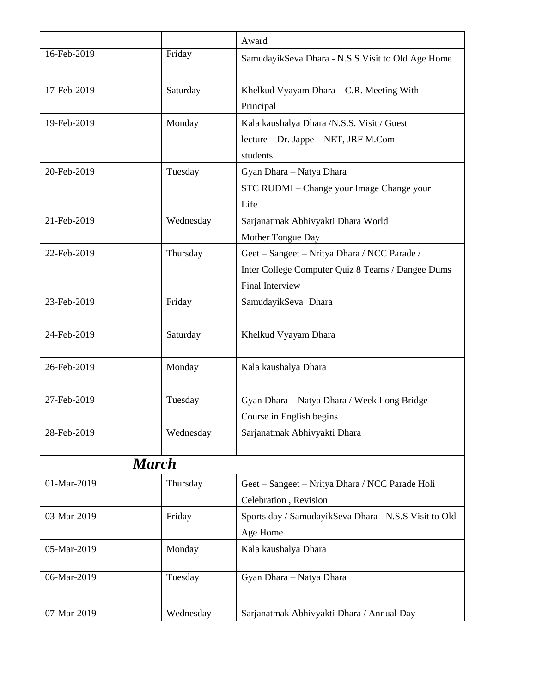|              |           | Award                                                 |
|--------------|-----------|-------------------------------------------------------|
| 16-Feb-2019  | Friday    | SamudayikSeva Dhara - N.S.S Visit to Old Age Home     |
| 17-Feb-2019  | Saturday  | Khelkud Vyayam Dhara - C.R. Meeting With              |
|              |           | Principal                                             |
| 19-Feb-2019  | Monday    | Kala kaushalya Dhara /N.S.S. Visit / Guest            |
|              |           | lecture – Dr. Jappe – NET, JRF M.Com                  |
|              |           | students                                              |
| 20-Feb-2019  | Tuesday   | Gyan Dhara - Natya Dhara                              |
|              |           | STC RUDMI - Change your Image Change your             |
|              |           | Life                                                  |
| 21-Feb-2019  | Wednesday | Sarjanatmak Abhivyakti Dhara World                    |
|              |           | Mother Tongue Day                                     |
| 22-Feb-2019  | Thursday  | Geet – Sangeet – Nritya Dhara / NCC Parade /          |
|              |           | Inter College Computer Quiz 8 Teams / Dangee Dums     |
|              |           | <b>Final Interview</b>                                |
| 23-Feb-2019  | Friday    | SamudayikSeva Dhara                                   |
| 24-Feb-2019  | Saturday  | Khelkud Vyayam Dhara                                  |
| 26-Feb-2019  | Monday    | Kala kaushalya Dhara                                  |
| 27-Feb-2019  | Tuesday   | Gyan Dhara - Natya Dhara / Week Long Bridge           |
|              |           | Course in English begins                              |
| 28-Feb-2019  | Wednesday | Sarjanatmak Abhivyakti Dhara                          |
| <b>March</b> |           |                                                       |
| 01-Mar-2019  | Thursday  | Geet - Sangeet - Nritya Dhara / NCC Parade Holi       |
|              |           | Celebration, Revision                                 |
| 03-Mar-2019  | Friday    | Sports day / SamudayikSeva Dhara - N.S.S Visit to Old |
|              |           | Age Home                                              |
| 05-Mar-2019  | Monday    | Kala kaushalya Dhara                                  |
| 06-Mar-2019  | Tuesday   | Gyan Dhara - Natya Dhara                              |
| 07-Mar-2019  | Wednesday | Sarjanatmak Abhivyakti Dhara / Annual Day             |